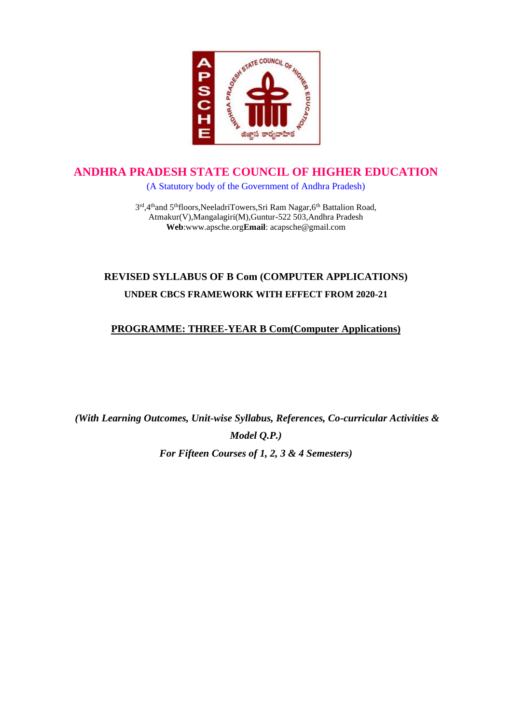

# **ANDHRA PRADESH STATE COUNCIL OF HIGHER EDUCATION**

(A Statutory body of the Government of Andhra Pradesh)

3rd,4thand 5thfloors, NeeladriTowers, Sri Ram Nagar, 6th Battalion Road, Atmakur(V),Mangalagiri(M),Guntur-522 503,Andhra Pradesh **Web**:www.apsche.org**Email**: acapsche@gmail.com

# **REVISED SYLLABUS OF B Com (COMPUTER APPLICATIONS) UNDER CBCS FRAMEWORK WITH EFFECT FROM 2020-21**

#### **PROGRAMME: THREE-YEAR B Com(Computer Applications)**

*(With Learning Outcomes, Unit-wise Syllabus, References, Co-curricular Activities & Model Q.P.) For Fifteen Courses of 1, 2, 3 & 4 Semesters)*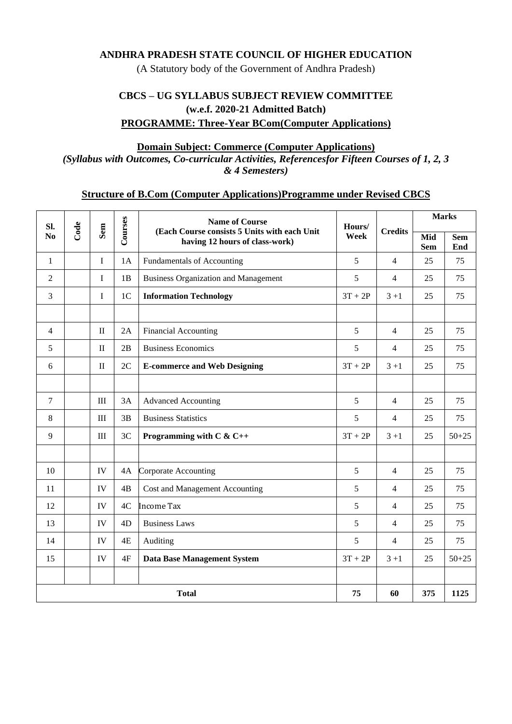#### **ANDHRA PRADESH STATE COUNCIL OF HIGHER EDUCATION**

(A Statutory body of the Government of Andhra Pradesh)

### **CBCS – UG SYLLABUS SUBJECT REVIEW COMMITTEE (w.e.f. 2020-21 Admitted Batch) PROGRAMME: Three-Year BCom(Computer Applications)**

#### **Domain Subject: Commerce (Computer Applications)**

*(Syllabus with Outcomes, Co-curricular Activities, Referencesfor Fifteen Courses of 1, 2, 3 & 4 Semesters)*

#### **Structure of B.Com (Computer Applications)Programme under Revised CBCS**

| SI.<br>N <sub>0</sub> | Code | Sem          | Courses        | <b>Name of Course</b><br>(Each Course consists 5 Units with each Unit<br>having 12 hours of class-work) | Hours/<br>Week | <b>Credits</b> | <b>Marks</b>      |                   |
|-----------------------|------|--------------|----------------|---------------------------------------------------------------------------------------------------------|----------------|----------------|-------------------|-------------------|
|                       |      |              |                |                                                                                                         |                |                | Mid<br><b>Sem</b> | <b>Sem</b><br>End |
| 1                     |      | I            | 1A             | Fundamentals of Accounting                                                                              | 5              | $\overline{4}$ | 25                | 75                |
| 2                     |      | I            | 1B             | <b>Business Organization and Management</b>                                                             | 5              | 4              | 25                | 75                |
| 3                     |      | I            | 1 <sup>C</sup> | <b>Information Technology</b>                                                                           | $3T + 2P$      | $3 + 1$        | 25                | 75                |
|                       |      |              |                |                                                                                                         |                |                |                   |                   |
| 4                     |      | $\mathbf{I}$ | 2A             | <b>Financial Accounting</b>                                                                             | 5              | $\overline{4}$ | 25                | 75                |
| 5                     |      | $\mathbf{I}$ | 2B             | <b>Business Economics</b>                                                                               | 5              | 4              | 25                | 75                |
| 6                     |      | $\mathbf{I}$ | 2C             | <b>E-commerce and Web Designing</b>                                                                     | $3T + 2P$      | $3 + 1$        | 25                | 75                |
|                       |      |              |                |                                                                                                         |                |                |                   |                   |
| 7                     |      | III          | 3A             | <b>Advanced Accounting</b>                                                                              | 5              | $\overline{4}$ | 25                | 75                |
| 8                     |      | $\rm III$    | 3B             | <b>Business Statistics</b>                                                                              | 5              | $\overline{4}$ | 25                | 75                |
| 9                     |      | III          | 3C             | Programming with $C & C++$                                                                              | $3T + 2P$      | $3 + 1$        | 25                | $50 + 25$         |
|                       |      |              |                |                                                                                                         |                |                |                   |                   |
| 10                    |      | IV           | 4A             | <b>Corporate Accounting</b>                                                                             | 5              | $\overline{4}$ | 25                | 75                |
| 11                    |      | IV           | 4B             | Cost and Management Accounting                                                                          | 5              | $\overline{4}$ | 25                | 75                |
| 12                    |      | IV           | 4C             | <b>Income Tax</b>                                                                                       | 5              | $\overline{4}$ | 25                | 75                |
| 13                    |      | IV           | 4D             | <b>Business Laws</b>                                                                                    | 5              | $\overline{4}$ | 25                | 75                |
| 14                    |      | IV           | 4E             | Auditing                                                                                                | 5              | $\overline{4}$ | 25                | 75                |
| 15                    |      | IV           | 4F             | <b>Data Base Management System</b>                                                                      | $3T + 2P$      | $3 + 1$        | 25                | $50 + 25$         |
|                       |      |              |                |                                                                                                         |                |                |                   |                   |
| <b>Total</b>          |      |              |                |                                                                                                         | 75             | 60             | 375               | 1125              |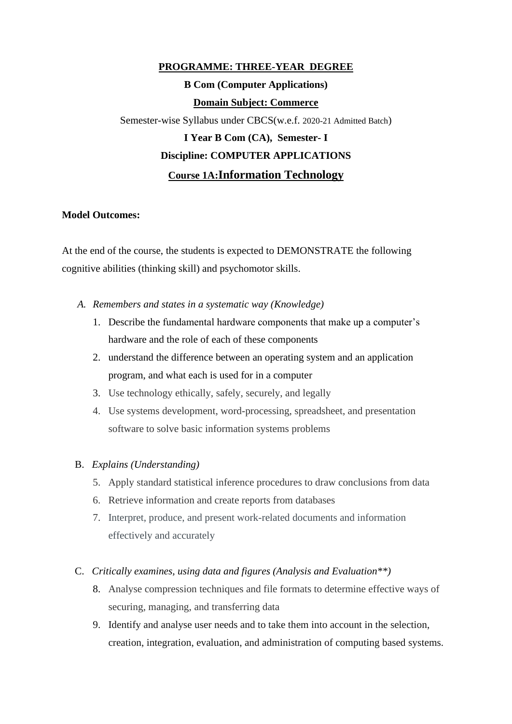### **PROGRAMME: THREE-YEAR DEGREE**

# **B Com (Computer Applications) Domain Subject: Commerce**

Semester-wise Syllabus under CBCS(w.e.f. 2020-21 Admitted Batch)

# **I Year B Com (CA), Semester- I Discipline: COMPUTER APPLICATIONS Course 1A:Information Technology**

#### **Model Outcomes:**

At the end of the course, the students is expected to DEMONSTRATE the following cognitive abilities (thinking skill) and psychomotor skills.

- *A. Remembers and states in a systematic way (Knowledge)*
	- 1. Describe the fundamental hardware components that make up a computer's hardware and the role of each of these components
	- 2. understand the difference between an operating system and an application program, and what each is used for in a computer
	- 3. Use technology ethically, safely, securely, and legally
	- 4. Use systems development, word-processing, spreadsheet, and presentation software to solve basic information systems problems

#### B. *Explains (Understanding)*

- 5. Apply standard statistical inference procedures to draw conclusions from data
- 6. Retrieve information and create reports from databases
- 7. Interpret, produce, and present work-related documents and information effectively and accurately

#### C. *Critically examines, using data and figures (Analysis and Evaluation\*\*)*

- 8. Analyse compression techniques and file formats to determine effective ways of securing, managing, and transferring data
- 9. Identify and analyse user needs and to take them into account in the selection, creation, integration, evaluation, and administration of computing based systems.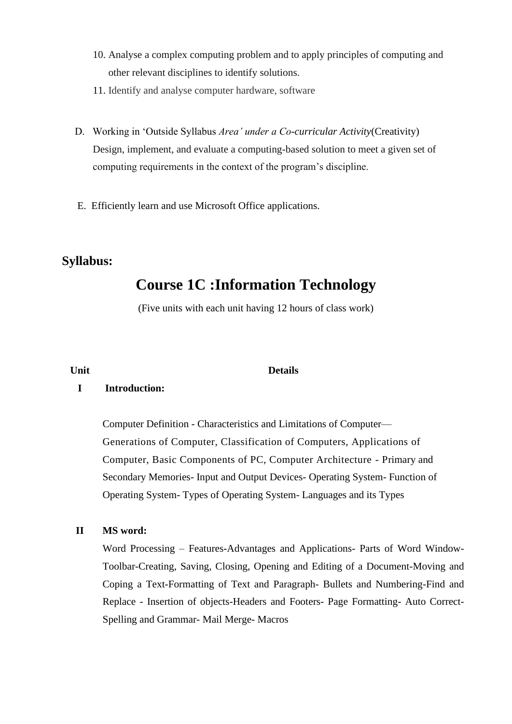- 10. Analyse a complex computing problem and to apply principles of computing and other relevant disciplines to identify solutions.
- 11. Identify and analyse computer hardware, software
- D. Working in 'Outside Syllabus *Area' under a Co-curricular Activity*(Creativity) Design, implement, and evaluate a computing-based solution to meet a given set of computing requirements in the context of the program's discipline.
- E. Efficiently learn and use Microsoft Office applications.

# **Syllabus:**

# **Course 1C :Information Technology**

(Five units with each unit having 12 hours of class work)

#### **Unit Details**

#### **I Introduction:**

Computer Definition - Characteristics and Limitations of Computer— Generations of Computer, Classification of Computers, Applications of Computer, Basic Components of PC, Computer Architecture - Primary and Secondary Memories- Input and Output Devices- Operating System- Function of Operating System- Types of Operating System- Languages and its Types

#### **II MS word:**

Word Processing – Features-Advantages and Applications- Parts of Word Window-Toolbar-Creating, Saving, Closing, Opening and Editing of a Document-Moving and Coping a Text-Formatting of Text and Paragraph- Bullets and Numbering-Find and Replace - Insertion of objects-Headers and Footers- Page Formatting- Auto Correct-Spelling and Grammar- Mail Merge- Macros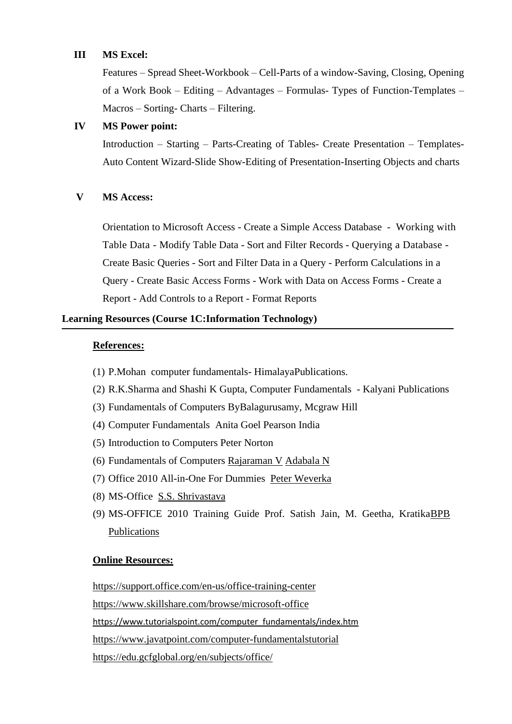#### **III MS Excel:**

Features – Spread Sheet-Workbook – Cell-Parts of a window-Saving, Closing, Opening of a Work Book – Editing – Advantages – Formulas- Types of Function-Templates – Macros – Sorting- Charts – Filtering.

#### **IV MS Power point:**

Introduction – Starting – Parts-Creating of Tables- Create Presentation – Templates-Auto Content Wizard-Slide Show-Editing of Presentation-Inserting Objects and charts

#### **V MS Access:**

Orientation to Microsoft Access - Create a Simple Access Database - Working with Table Data - Modify Table Data - Sort and Filter Records - Querying a Database - Create Basic Queries - Sort and Filter Data in a Query - Perform Calculations in a Query - Create Basic Access Forms - Work with Data on Access Forms - Create a Report - Add Controls to a Report - Format Reports

#### **Learning Resources (Course 1C:Information Technology)**

#### **References:**

- (1) P.Mohan computer fundamentals- HimalayaPublications.
- (2) R.K.Sharma and Shashi K Gupta, Computer Fundamentals Kalyani Publications
- (3) Fundamentals of Computers ByBalagurusamy, Mcgraw Hill
- (4) Computer Fundamentals Anita Goel Pearson India
- (5) Introduction to Computers Peter Norton
- (6) Fundamentals of Computers [Rajaraman V](https://www.amazon.in/s/ref=dp_byline_sr_book_1?ie=UTF8&field-author=Rajaraman+V&search-alias=stripbooks) [Adabala N](https://www.amazon.in/s/ref=dp_byline_sr_book_2?ie=UTF8&field-author=Adabala+N&search-alias=stripbooks)
- (7) Office 2010 All-in-One For Dummies [Peter Weverka](https://www.amazon.com/Peter-Weverka/e/B001HCZ9YM/ref=dp_byline_cont_book_1)
- (8) MS-Office [S.S. Shrivastava](https://www.amazon.in/s/ref=dp_byline_sr_book_1?ie=UTF8&field-author=S.S.+Shrivastava&search-alias=stripbooks)
- (9) MS-OFFICE 2010 Training Guide Prof. Satish Jain, M. Geetha, Kratik[aBPB](https://bpbonline.com/collections/vendors?q=BPB%20Publications)  [Publications](https://bpbonline.com/collections/vendors?q=BPB%20Publications)

#### **Online Resources:**

<https://support.office.com/en-us/office-training-center> <https://www.skillshare.com/browse/microsoft-office> [https://www.tutorialspoint.com/computer\\_fundamentals/index.htm](https://www.tutorialspoint.com/computer_fundamentals/index.htm) <https://www.javatpoint.com/computer-fundamentalstutorial> <https://edu.gcfglobal.org/en/subjects/office/>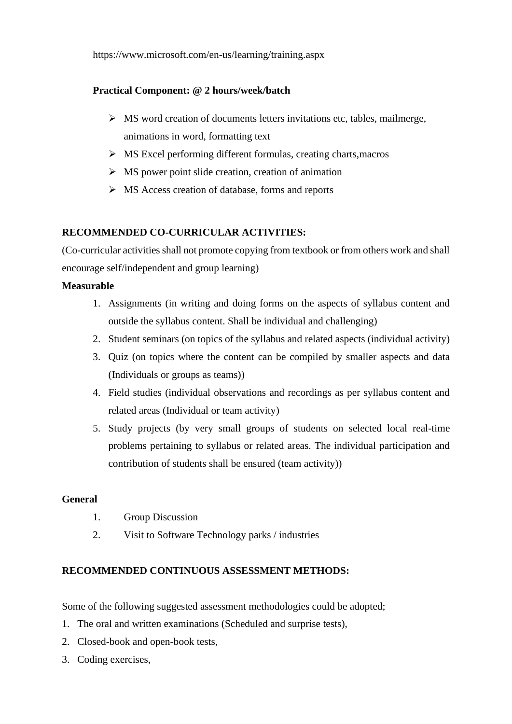https://www.microsoft.com/en-us/learning/training.aspx

#### **Practical Component: @ 2 hours/week/batch**

- ➢ MS word creation of documents letters invitations etc, tables, mailmerge, animations in word, formatting text
- ➢ MS Excel performing different formulas, creating charts,macros
- $\triangleright$  MS power point slide creation, creation of animation
- ➢ MS Access creation of database, forms and reports

#### **RECOMMENDED CO-CURRICULAR ACTIVITIES:**

(Co-curricular activities shall not promote copying from textbook or from others work and shall encourage self/independent and group learning)

#### **Measurable**

- 1. Assignments (in writing and doing forms on the aspects of syllabus content and outside the syllabus content. Shall be individual and challenging)
- 2. Student seminars (on topics of the syllabus and related aspects (individual activity)
- 3. Quiz (on topics where the content can be compiled by smaller aspects and data (Individuals or groups as teams))
- 4. Field studies (individual observations and recordings as per syllabus content and related areas (Individual or team activity)
- 5. Study projects (by very small groups of students on selected local real-time problems pertaining to syllabus or related areas. The individual participation and contribution of students shall be ensured (team activity))

#### **General**

- 1. Group Discussion
- 2. Visit to Software Technology parks / industries

#### **RECOMMENDED CONTINUOUS ASSESSMENT METHODS:**

Some of the following suggested assessment methodologies could be adopted;

- 1. The oral and written examinations (Scheduled and surprise tests),
- 2. Closed-book and open-book tests,
- 3. Coding exercises,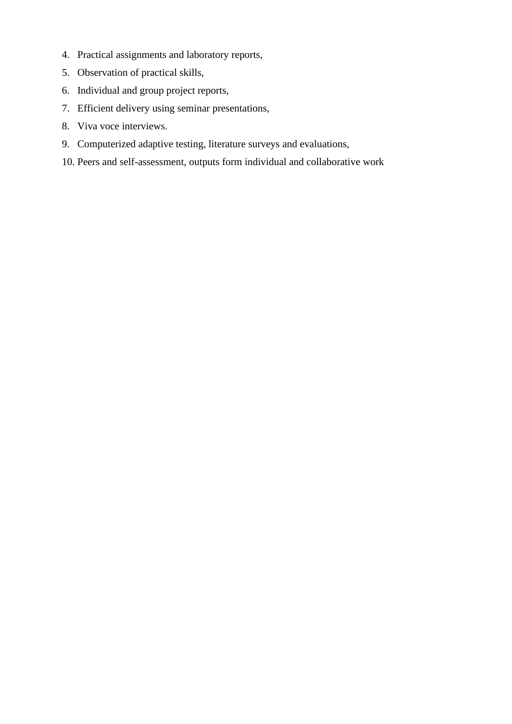- 4. Practical assignments and laboratory reports,
- 5. Observation of practical skills,
- 6. Individual and group project reports,
- 7. Efficient delivery using seminar presentations,
- 8. Viva voce interviews.
- 9. Computerized adaptive testing, literature surveys and evaluations,
- 10. Peers and self-assessment, outputs form individual and collaborative work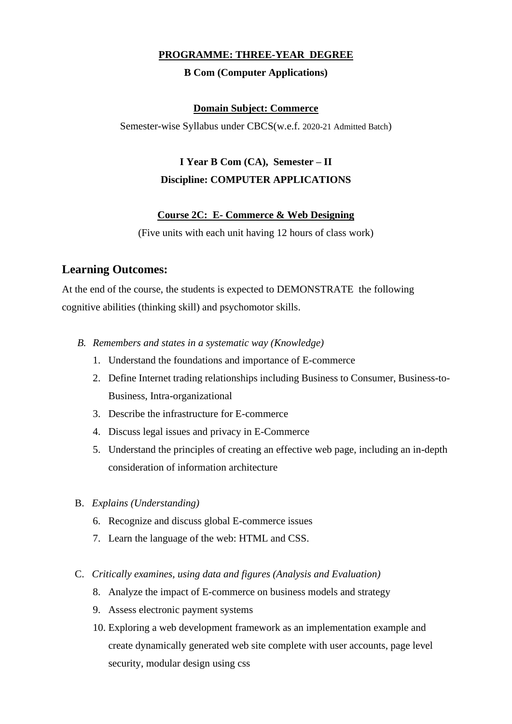#### **PROGRAMME: THREE-YEAR DEGREE**

#### **B Com (Computer Applications)**

#### **Domain Subject: Commerce**

Semester-wise Syllabus under CBCS(w.e.f. 2020-21 Admitted Batch)

# **I Year B Com (CA), Semester – II Discipline: COMPUTER APPLICATIONS**

#### **Course 2C: E- Commerce & Web Designing**

(Five units with each unit having 12 hours of class work)

#### **Learning Outcomes:**

At the end of the course, the students is expected to DEMONSTRATE the following cognitive abilities (thinking skill) and psychomotor skills.

- *B. Remembers and states in a systematic way (Knowledge)*
	- 1. Understand the foundations and importance of E-commerce
	- 2. Define Internet trading relationships including Business to Consumer, Business-to-Business, Intra-organizational
	- 3. Describe the infrastructure for E-commerce
	- 4. Discuss legal issues and privacy in E-Commerce
	- 5. Understand the principles of creating an effective web page, including an in-depth consideration of information architecture
- B. *Explains (Understanding)*
	- 6. Recognize and discuss global E-commerce issues
	- 7. Learn the language of the web: HTML and CSS.
- C. *Critically examines, using data and figures (Analysis and Evaluation)*
	- 8. Analyze the impact of E-commerce on business models and strategy
	- 9. Assess electronic payment systems
	- 10. Exploring a web development framework as an implementation example and create dynamically generated web site complete with user accounts, page level security, modular design using css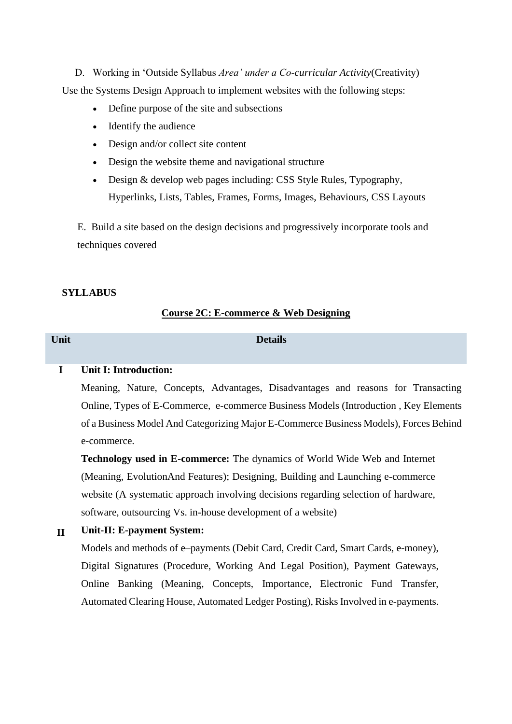D. Working in 'Outside Syllabus *Area' under a Co-curricular Activity*(Creativity) Use the Systems Design Approach to implement websites with the following steps:

- Define purpose of the site and subsections
- Identify the audience
- Design and/or collect site content
- Design the website theme and navigational structure
- Design & develop web pages including: CSS Style Rules, Typography, Hyperlinks, Lists, Tables, Frames, Forms, Images, Behaviours, CSS Layouts

E. Build a site based on the design decisions and progressively incorporate tools and techniques covered

#### **SYLLABUS**

#### **Course 2C: E-commerce & Web Designing**

**Unit Details**

#### **I Unit I: Introduction:**

Meaning, Nature, Concepts, Advantages, Disadvantages and reasons for Transacting Online, Types of E-Commerce, e-commerce Business Models (Introduction , Key Elements of a Business Model And Categorizing Major E-Commerce Business Models), Forces Behind e-commerce.

**Technology used in E-commerce:** The dynamics of World Wide Web and Internet (Meaning, EvolutionAnd Features); Designing, Building and Launching e-commerce website (A systematic approach involving decisions regarding selection of hardware, software, outsourcing Vs. in-house development of a website)

#### **II Unit-II: E-payment System:**

Models and methods of e–payments (Debit Card, Credit Card, Smart Cards, e-money), Digital Signatures (Procedure, Working And Legal Position), Payment Gateways, Online Banking (Meaning, Concepts, Importance, Electronic Fund Transfer, Automated Clearing House, Automated Ledger Posting), Risks Involved in e-payments.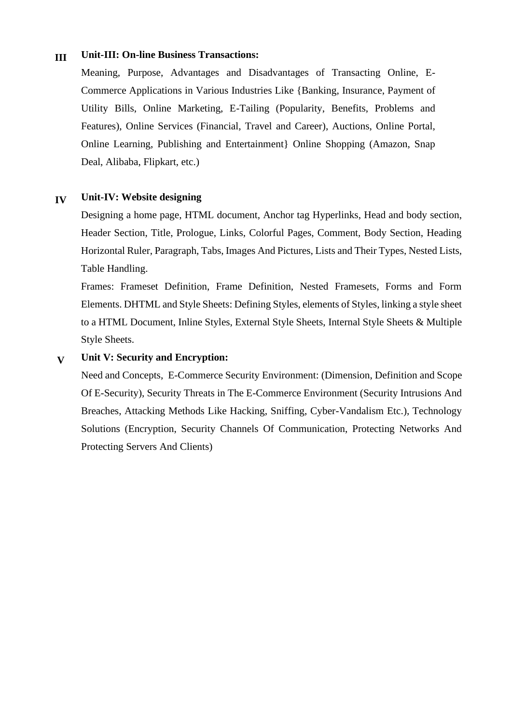#### **III Unit-III: On-line Business Transactions:**

Meaning, Purpose, Advantages and Disadvantages of Transacting Online, E-Commerce Applications in Various Industries Like {Banking, Insurance, Payment of Utility Bills, Online Marketing, E-Tailing (Popularity, Benefits, Problems and Features), Online Services (Financial, Travel and Career), Auctions, Online Portal, Online Learning, Publishing and Entertainment} Online Shopping (Amazon, Snap Deal, Alibaba, Flipkart, etc.)

#### **IV Unit-IV: Website designing**

Designing a home page, HTML document, Anchor tag Hyperlinks, Head and body section, Header Section, Title, Prologue, Links, Colorful Pages, Comment, Body Section, Heading Horizontal Ruler, Paragraph, Tabs, Images And Pictures, Lists and Their Types, Nested Lists, Table Handling.

Frames: Frameset Definition, Frame Definition, Nested Framesets, Forms and Form Elements. DHTML and Style Sheets: Defining Styles, elements of Styles, linking a style sheet to a HTML Document, Inline Styles, External Style Sheets, Internal Style Sheets & Multiple Style Sheets.

#### **V Unit V: Security and Encryption:**

Need and Concepts, E-Commerce Security Environment: (Dimension, Definition and Scope Of E-Security), Security Threats in The E-Commerce Environment (Security Intrusions And Breaches, Attacking Methods Like Hacking, Sniffing, Cyber-Vandalism Etc.), Technology Solutions (Encryption, Security Channels Of Communication, Protecting Networks And Protecting Servers And Clients)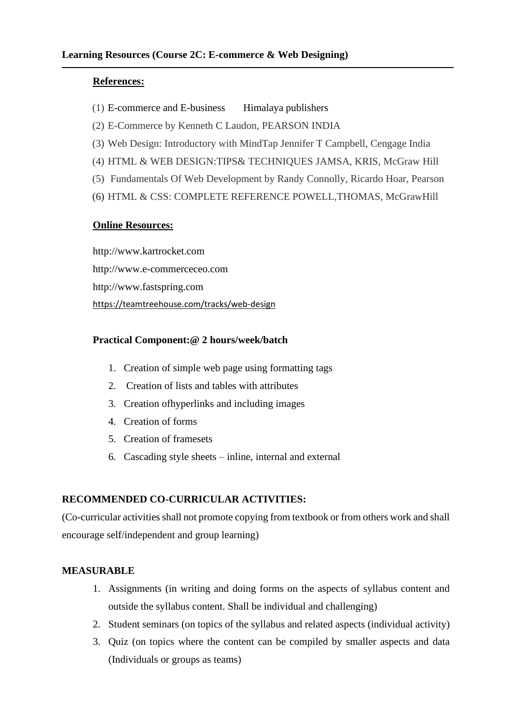#### **References:**

- $(1)$  E-commerce and E-business Himalaya publishers
- (2) E-Commerce by Kenneth C Laudon, PEARSON INDIA
- (3) Web Design: Introductory with MindTap Jennifer T Campbell, Cengage India
- (4) HTML & WEB DESIGN:TIPS& TECHNIQUES JAMSA, KRIS, McGraw Hill
- (5) Fundamentals Of Web Development by Randy Connolly, Ricardo Hoar, Pearson
- (6) HTML & CSS: COMPLETE REFERENCE POWELL,THOMAS, McGrawHill

#### **Online Resources:**

http://www.kartrocket.com http://www.e-commerceceo.com http://www.fastspring.com <https://teamtreehouse.com/tracks/web-design>

#### **Practical Component:@ 2 hours/week/batch**

- 1. Creation of simple web page using formatting tags
- 2. Creation of lists and tables with attributes
- 3. Creation ofhyperlinks and including images
- 4. Creation of forms
- 5. Creation of framesets
- 6. Cascading style sheets inline, internal and external

#### **RECOMMENDED CO-CURRICULAR ACTIVITIES:**

(Co-curricular activities shall not promote copying from textbook or from others work and shall encourage self/independent and group learning)

#### **MEASURABLE**

- 1. Assignments (in writing and doing forms on the aspects of syllabus content and outside the syllabus content. Shall be individual and challenging)
- 2. Student seminars (on topics of the syllabus and related aspects (individual activity)
- 3. Quiz (on topics where the content can be compiled by smaller aspects and data (Individuals or groups as teams)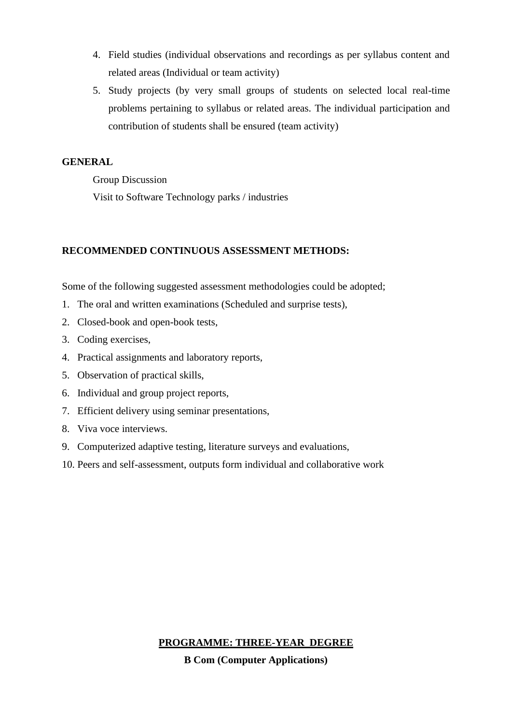- 4. Field studies (individual observations and recordings as per syllabus content and related areas (Individual or team activity)
- 5. Study projects (by very small groups of students on selected local real-time problems pertaining to syllabus or related areas. The individual participation and contribution of students shall be ensured (team activity)

#### **GENERAL**

Group Discussion

Visit to Software Technology parks / industries

#### **RECOMMENDED CONTINUOUS ASSESSMENT METHODS:**

Some of the following suggested assessment methodologies could be adopted;

- 1. The oral and written examinations (Scheduled and surprise tests),
- 2. Closed-book and open-book tests,
- 3. Coding exercises,
- 4. Practical assignments and laboratory reports,
- 5. Observation of practical skills,
- 6. Individual and group project reports,
- 7. Efficient delivery using seminar presentations,
- 8. Viva voce interviews.
- 9. Computerized adaptive testing, literature surveys and evaluations,
- 10. Peers and self-assessment, outputs form individual and collaborative work

# **PROGRAMME: THREE-YEAR DEGREE**

**B Com (Computer Applications)**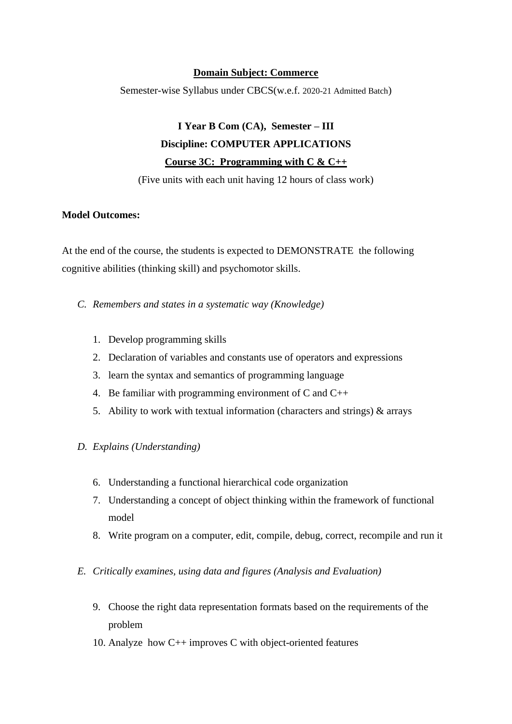#### **Domain Subject: Commerce**

Semester-wise Syllabus under CBCS(w.e.f. 2020-21 Admitted Batch)

# **I Year B Com (CA), Semester – III Discipline: COMPUTER APPLICATIONS Course 3C: Programming with C & C++**

(Five units with each unit having 12 hours of class work)

#### **Model Outcomes:**

At the end of the course, the students is expected to DEMONSTRATE the following cognitive abilities (thinking skill) and psychomotor skills.

- *C. Remembers and states in a systematic way (Knowledge)*
	- 1. Develop programming skills
	- 2. Declaration of variables and constants use of operators and expressions
	- 3. learn the syntax and semantics of programming language
	- 4. Be familiar with programming environment of C and C++
	- 5. Ability to work with textual information (characters and strings) & arrays
- *D. Explains (Understanding)*
	- 6. Understanding a functional hierarchical code organization
	- 7. Understanding a concept of object thinking within the framework of functional model
	- 8. Write program on a computer, edit, compile, debug, correct, recompile and run it
- *E. Critically examines, using data and figures (Analysis and Evaluation)*
	- 9. Choose the right data representation formats based on the requirements of the problem
	- 10. Analyze how C++ improves C with object-oriented features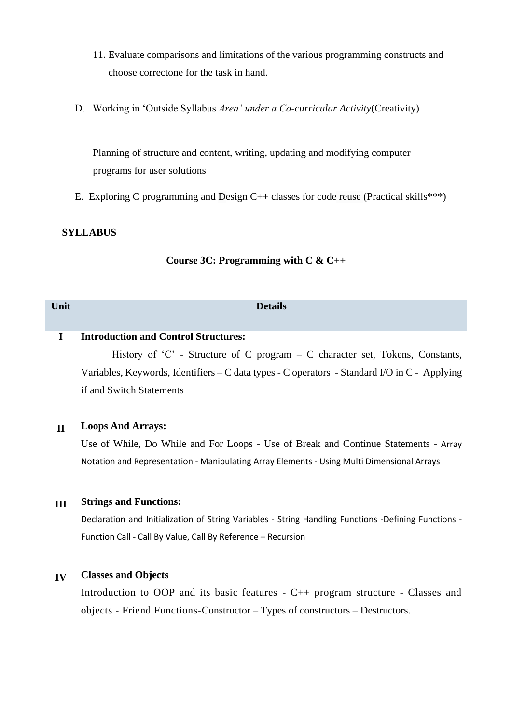- 11. Evaluate comparisons and limitations of the various programming constructs and choose correctone for the task in hand.
- D. Working in 'Outside Syllabus *Area' under a Co-curricular Activity*(Creativity)

Planning of structure and content, writing, updating and modifying computer programs for user solutions

E. Exploring C programming and Design C++ classes for code reuse (Practical skills\*\*\*)

#### **SYLLABUS**

#### **Course 3C: Programming with C & C++**

| Unit |                                             | <b>Details</b>                                                        |  |
|------|---------------------------------------------|-----------------------------------------------------------------------|--|
|      | <b>Introduction and Control Structures:</b> |                                                                       |  |
|      |                                             | History of C; Structure of C program C character set Tokens Constants |  |

History of 'C' - Structure of C program – C character set, Tokens, Constants, Variables, Keywords, Identifiers – C data types - C operators - Standard I/O in C - Applying if and Switch Statements

#### **II Loops And Arrays:**

Use of While, Do While and For Loops - Use of Break and Continue Statements - Array Notation and Representation - Manipulating Array Elements - Using Multi Dimensional Arrays

#### **III Strings and Functions:**

Declaration and Initialization of String Variables - String Handling Functions -Defining Functions -Function Call - Call By Value, Call By Reference – Recursion

#### **IV Classes and Objects**

Introduction to OOP and its basic features - C++ program structure - Classes and objects - Friend Functions-Constructor – Types of constructors – Destructors.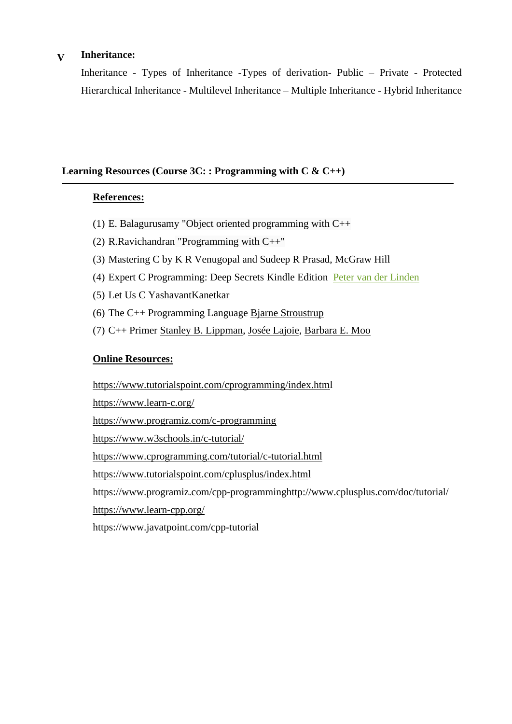#### **V Inheritance:**

Inheritance - Types of Inheritance -Types of derivation- Public – Private - Protected Hierarchical Inheritance - Multilevel Inheritance – Multiple Inheritance - Hybrid Inheritance

#### **Learning Resources (Course 3C: : Programming with C & C++)**

#### **References:**

- (1) E. Balagurusamy "Object oriented programming with C++
- (2) R.Ravichandran "Programming with C++"
- (3) Mastering C by K R Venugopal and Sudeep R Prasad, McGraw Hill
- (4) Expert C Programming: Deep Secrets Kindle Edition [Peter van der Linden](https://www.amazon.in/Peter-van-der-Linden/e/B000APA8Y8/ref=dp_byline_cont_ebooks_1)
- (5) Let Us C [YashavantKanetkar](https://www.amazon.in/s/ref=dp_byline_sr_book_1?ie=UTF8&field-author=Yashavant+Kanetkar&search-alias=stripbooks)
- (6) The C++ Programming Language [Bjarne Stroustrup](https://www.amazon.com/Bjarne-Stroustrup/e/B000AQ349S/ref=dp_byline_cont_book_1)
- (7) C++ Primer [Stanley B. Lippman,](https://www.amazon.com/Stanley-B-Lippman/e/B000APLJ0A/ref=dp_byline_cont_book_1) [Josée Lajoie,](https://www.amazon.com/Jos%C3%A9e-Lajoie/e/B00DDCL74A/ref=dp_byline_cont_book_2) [Barbara E. Moo](https://www.amazon.com/Barbara-E-Moo/e/B07JJLWFV3/ref=dp_byline_cont_book_3)

#### **Online Resources:**

[https://www.tutorialspoint.com/cprogramming/index.html](https://www.tutorialspoint.com/cprogramming/index.htm)

<https://www.learn-c.org/>

<https://www.programiz.com/c-programming>

<https://www.w3schools.in/c-tutorial/>

<https://www.cprogramming.com/tutorial/c-tutorial.html>

[https://www.tutorialspoint.com/cplusplus/index.html](https://www.tutorialspoint.com/cplusplus/index.htm)

https://www.programiz.com/cpp-programminghttp://www.cplusplus.com/doc/tutorial/

<https://www.learn-cpp.org/>

https://www.javatpoint.com/cpp-tutorial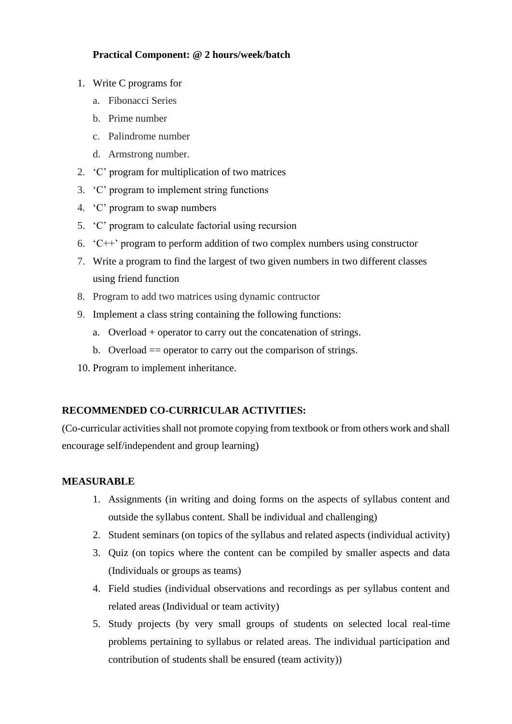#### **Practical Component: @ 2 hours/week/batch**

- 1. Write C programs for
	- a. Fibonacci Series
	- b. Prime number
	- c. Palindrome number
	- d. Armstrong number.
- 2. 'C' program for multiplication of two matrices
- 3. 'C' program to implement string functions
- 4. 'C' program to swap numbers
- 5. 'C' program to calculate factorial using recursion
- 6. 'C++' program to perform addition of two complex numbers using constructor
- 7. Write a program to find the largest of two given numbers in two different classes using friend function
- 8. Program to add two matrices using dynamic contructor
- 9. Implement a class string containing the following functions:
	- a. Overload + operator to carry out the concatenation of strings.
	- b. Overload  $=$  operator to carry out the comparison of strings.
- 10. Program to implement inheritance.

#### **RECOMMENDED CO-CURRICULAR ACTIVITIES:**

(Co-curricular activities shall not promote copying from textbook or from others work and shall encourage self/independent and group learning)

#### **MEASURABLE**

- 1. Assignments (in writing and doing forms on the aspects of syllabus content and outside the syllabus content. Shall be individual and challenging)
- 2. Student seminars (on topics of the syllabus and related aspects (individual activity)
- 3. Quiz (on topics where the content can be compiled by smaller aspects and data (Individuals or groups as teams)
- 4. Field studies (individual observations and recordings as per syllabus content and related areas (Individual or team activity)
- 5. Study projects (by very small groups of students on selected local real-time problems pertaining to syllabus or related areas. The individual participation and contribution of students shall be ensured (team activity))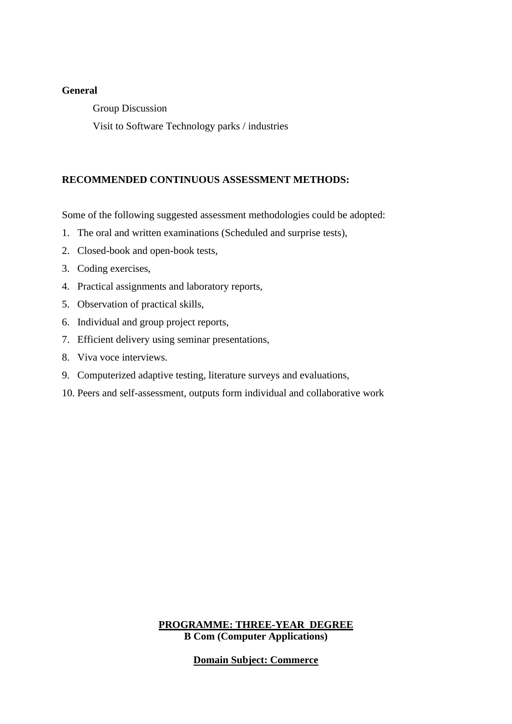#### **General**

Group Discussion

Visit to Software Technology parks / industries

#### **RECOMMENDED CONTINUOUS ASSESSMENT METHODS:**

Some of the following suggested assessment methodologies could be adopted:

- 1. The oral and written examinations (Scheduled and surprise tests),
- 2. Closed-book and open-book tests,
- 3. Coding exercises,
- 4. Practical assignments and laboratory reports,
- 5. Observation of practical skills,
- 6. Individual and group project reports,
- 7. Efficient delivery using seminar presentations,
- 8. Viva voce interviews.
- 9. Computerized adaptive testing, literature surveys and evaluations,
- 10. Peers and self-assessment, outputs form individual and collaborative work

**PROGRAMME: THREE-YEAR DEGREE B Com (Computer Applications)**

**Domain Subject: Commerce**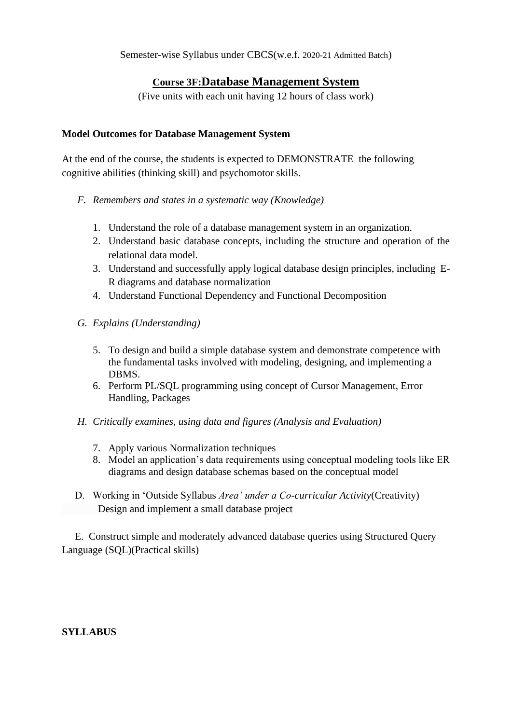Semester-wise Syllabus under CBCS(w.e.f. 2020-21 Admitted Batch)

### **Course 3F:Database Management System**

(Five units with each unit having 12 hours of class work)

#### **Model Outcomes for Database Management System**

At the end of the course, the students is expected to DEMONSTRATE the following cognitive abilities (thinking skill) and psychomotor skills.

- *F. Remembers and states in a systematic way (Knowledge)*
	- 1. Understand the role of a database management system in an organization.
	- 2. Understand basic database concepts, including the structure and operation of the relational data model.
	- 3. Understand and successfully apply logical database design principles, including E-R diagrams and database normalization
	- 4. Understand Functional Dependency and Functional Decomposition
- *G. Explains (Understanding)*
	- 5. To design and build a simple database system and demonstrate competence with the fundamental tasks involved with modeling, designing, and implementing a DBMS.
	- 6. Perform PL/SQL programming using concept of Cursor Management, Error Handling, Packages
- *H. Critically examines, using data and figures (Analysis and Evaluation)*
	- 7. Apply various Normalization techniques
	- 8. Model an application's data requirements using conceptual modeling tools like ER diagrams and design database schemas based on the conceptual model
- D. Working in 'Outside Syllabus *Area' under a Co-curricular Activity*(Creativity) Design and implement a small database project

 E. Construct simple and moderately advanced database queries using Structured Query Language (SQL)(Practical skills)

**SYLLABUS**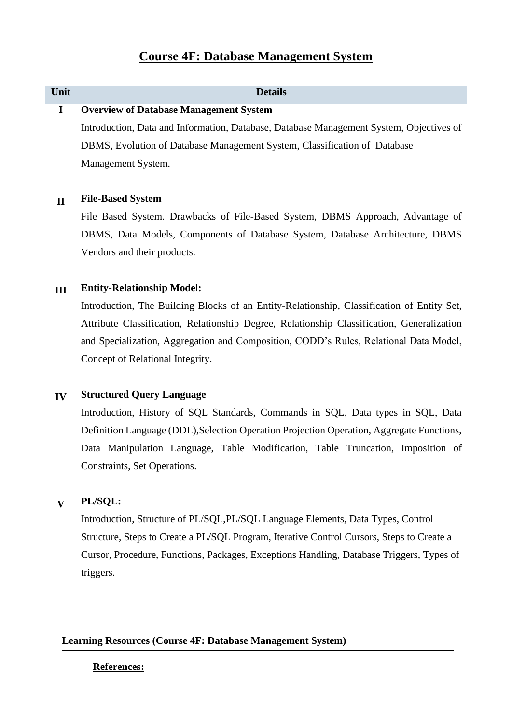## **Unit Details I Overview of Database Management System**

Introduction, Data and Information, Database, Database Management System, Objectives of DBMS, Evolution of Database Management System, Classification of Database Management System.

#### **II File-Based System**

File Based System. Drawbacks of File-Based System, DBMS Approach, Advantage of DBMS, Data Models, Components of Database System, Database Architecture, DBMS Vendors and their products.

#### **III Entity-Relationship Model:**

Introduction, The Building Blocks of an Entity-Relationship, Classification of Entity Set, Attribute Classification, Relationship Degree, Relationship Classification, Generalization and Specialization, Aggregation and Composition, CODD's Rules, Relational Data Model, Concept of Relational Integrity.

#### **IV Structured Query Language**

Introduction, History of SQL Standards, Commands in SQL, Data types in SQL, Data Definition Language (DDL),Selection Operation Projection Operation, Aggregate Functions, Data Manipulation Language, Table Modification, Table Truncation, Imposition of Constraints, Set Operations.

## **V PL/SQL:**

Introduction, Structure of PL/SQL,PL/SQL Language Elements, Data Types, Control Structure, Steps to Create a PL/SQL Program, Iterative Control Cursors, Steps to Create a Cursor, Procedure, Functions, Packages, Exceptions Handling, Database Triggers, Types of triggers.

#### **Learning Resources (Course 4F: Database Management System)**

#### **References:**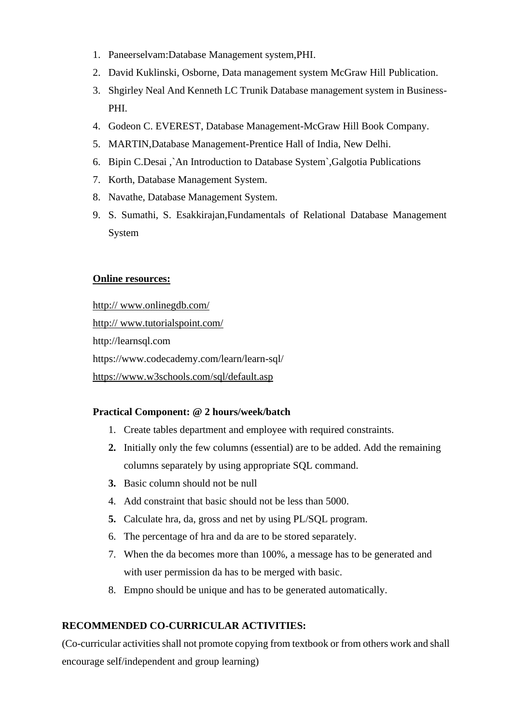- 1. Paneerselvam:Database Management system,PHI.
- 2. David Kuklinski, Osborne, Data management system McGraw Hill Publication.
- 3. Shgirley Neal And Kenneth LC Trunik Database management system in Business-PHI.
- 4. Godeon C. EVEREST, Database Management-McGraw Hill Book Company.
- 5. MARTIN,Database Management-Prentice Hall of India, New Delhi.
- 6. Bipin C.Desai ,`An Introduction to Database System`,Galgotia Publications
- 7. Korth, Database Management System.
- 8. Navathe, Database Management System.
- 9. S. Sumathi, S. Esakkirajan,Fundamentals of Relational Database Management System

#### **Online resources:**

http:// www.onlinegdb.com/ http:// www.tutorialspoint.com/ http://learnsql.com https://www.codecademy.com/learn/learn-sql/ <https://www.w3schools.com/sql/default.asp>

#### **Practical Component: @ 2 hours/week/batch**

- 1. Create tables department and employee with required constraints.
- **2.** Initially only the few columns (essential) are to be added. Add the remaining columns separately by using appropriate SQL command.
- **3.** Basic column should not be null
- 4. Add constraint that basic should not be less than 5000.
- **5.** Calculate hra, da, gross and net by using PL/SQL program.
- 6. The percentage of hra and da are to be stored separately.
- 7. When the da becomes more than 100%, a message has to be generated and with user permission da has to be merged with basic.
- 8. Empno should be unique and has to be generated automatically.

#### **RECOMMENDED CO-CURRICULAR ACTIVITIES:**

(Co-curricular activities shall not promote copying from textbook or from others work and shall encourage self/independent and group learning)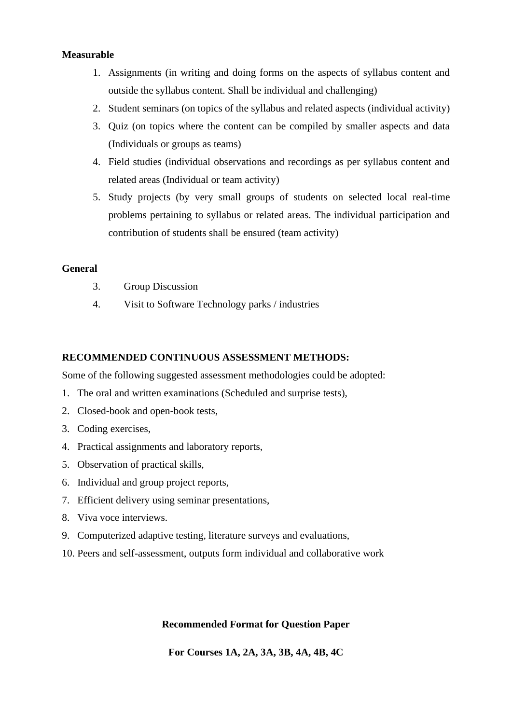#### **Measurable**

- 1. Assignments (in writing and doing forms on the aspects of syllabus content and outside the syllabus content. Shall be individual and challenging)
- 2. Student seminars (on topics of the syllabus and related aspects (individual activity)
- 3. Quiz (on topics where the content can be compiled by smaller aspects and data (Individuals or groups as teams)
- 4. Field studies (individual observations and recordings as per syllabus content and related areas (Individual or team activity)
- 5. Study projects (by very small groups of students on selected local real-time problems pertaining to syllabus or related areas. The individual participation and contribution of students shall be ensured (team activity)

#### **General**

- 3. Group Discussion
- 4. Visit to Software Technology parks / industries

#### **RECOMMENDED CONTINUOUS ASSESSMENT METHODS:**

Some of the following suggested assessment methodologies could be adopted:

- 1. The oral and written examinations (Scheduled and surprise tests),
- 2. Closed-book and open-book tests,
- 3. Coding exercises,
- 4. Practical assignments and laboratory reports,
- 5. Observation of practical skills,
- 6. Individual and group project reports,
- 7. Efficient delivery using seminar presentations,
- 8. Viva voce interviews.
- 9. Computerized adaptive testing, literature surveys and evaluations,
- 10. Peers and self-assessment, outputs form individual and collaborative work

#### **Recommended Format for Question Paper**

**For Courses 1A, 2A, 3A, 3B, 4A, 4B, 4C**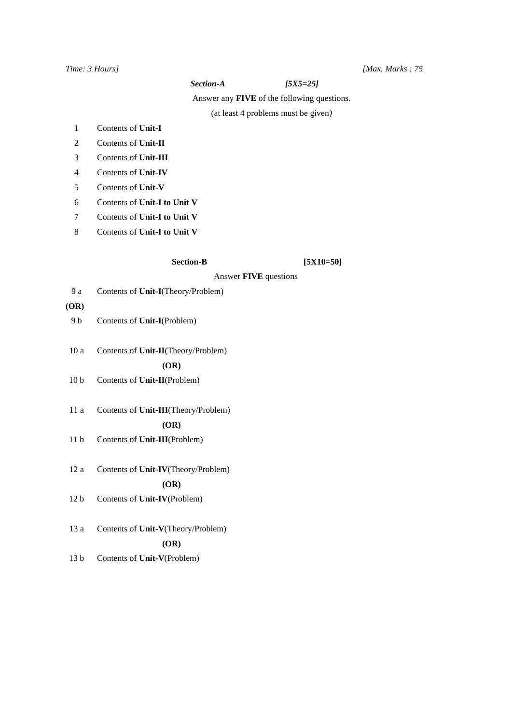#### *Time: 3 Hours] [Max. Marks : 75*

#### *Section-A [5X5=25]*

Answer any **FIVE** of the following questions.

(at least 4 problems must be given*)*

- 1 Contents of **Unit-I**
- 2 Contents of **Unit-II**
- 3 Contents of **Unit-III**
- 4 Contents of **Unit-IV**
- 5 Contents of **Unit-V**
- 6 Contents of **Unit-I to Unit V**
- 7 Contents of **Unit-I to Unit V**
- 8 Contents of **Unit-I to Unit V**

Section-B [5X10=50]

Answer **FIVE** questions

9 a Contents of **Unit-I**(Theory/Problem)

#### **(OR)**

- 9 b Contents of **Unit-I**(Problem)
- 10 a Contents of **Unit-II**(Theory/Problem)

 **(OR)**

- 10 b Contents of **Unit-II**(Problem)
- 11 a Contents of **Unit-III**(Theory/Problem)  **(OR)**
- 11 b Contents of **Unit-III**(Problem)
- 12 a Contents of **Unit-IV**(Theory/Problem)

#### **(OR)**

- 12 b Contents of **Unit-IV**(Problem)
- 13 a Contents of **Unit-V**(Theory/Problem)  **(OR)**
- 13 b Contents of **Unit-V**(Problem)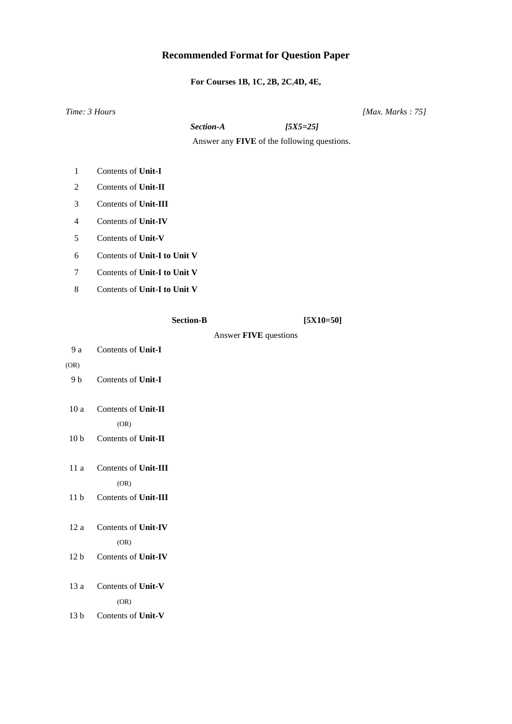# **Recommended Format for Question Paper**

**For Courses 1B, 1C, 2B, 2C,4D, 4E,**

|                 | Time: 3 Hours                |                  |                                             | [Max. Marks: $75$ ] |
|-----------------|------------------------------|------------------|---------------------------------------------|---------------------|
|                 |                              | Section-A        | $[5X5=25]$                                  |                     |
|                 |                              |                  | Answer any FIVE of the following questions. |                     |
| $\mathbf{1}$    | Contents of Unit-I           |                  |                                             |                     |
| 2               | Contents of Unit-II          |                  |                                             |                     |
| 3               | Contents of Unit-III         |                  |                                             |                     |
| 4               | Contents of Unit-IV          |                  |                                             |                     |
| 5               | Contents of Unit-V           |                  |                                             |                     |
| 6               | Contents of Unit-I to Unit V |                  |                                             |                     |
| 7               | Contents of Unit-I to Unit V |                  |                                             |                     |
| 8               | Contents of Unit-I to Unit V |                  |                                             |                     |
|                 |                              | <b>Section-B</b> | $[5X10=50]$                                 |                     |
|                 |                              |                  | Answer FIVE questions                       |                     |
| 9 a             | Contents of Unit-I           |                  |                                             |                     |
| (OR)            |                              |                  |                                             |                     |
| 9 b             | Contents of Unit-I           |                  |                                             |                     |
| 10a             | Contents of Unit-II          |                  |                                             |                     |
|                 | (OR)                         |                  |                                             |                     |
| 10 <sub>b</sub> | Contents of Unit-II          |                  |                                             |                     |
| 11a             | Contents of Unit-III         |                  |                                             |                     |
|                 | (OR)                         |                  |                                             |                     |
| 11 <sub>b</sub> | Contents of Unit-III         |                  |                                             |                     |
| 12a             | Contents of Unit-IV          |                  |                                             |                     |
|                 | (OR)                         |                  |                                             |                     |
| 12 <sub>b</sub> | Contents of Unit-IV          |                  |                                             |                     |
| 13 a            | Contents of Unit-V           |                  |                                             |                     |
|                 | (OR)                         |                  |                                             |                     |
| 13 <sub>b</sub> | Contents of Unit-V           |                  |                                             |                     |